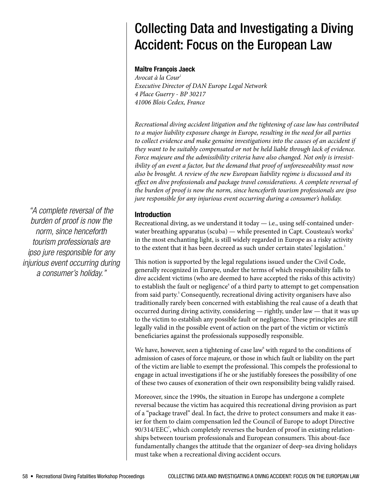# Collecting Data and Investigating a Diving Accident: Focus on the European Law

#### **Maître François Jaeck**

*Avocat à la Cour1 Executive Director of DAN Europe Legal Network 4 Place Guerry - BP 30217 41006 Blois Cedex, France*

*Recreational diving accident litigation and the tightening of case law has contributed to a major liability exposure change in Europe, resulting in the need for all parties*  to collect evidence and make genuine investigations into the causes of an accident if *they want to be suitably compensated or not be held liable through lack of evidence. Force majeure and the admissibility criteria have also changed. Not only is irresistibility of an event a factor, but the demand that proof of unforeseeability must now also be brought. A review of the new European liability regime is discussed and its effect on dive professionals and package travel considerations. A complete reversal of the burden of proof is now the norm, since henceforth tourism professionals are ipso jure responsible for any injurious event occurring during a consumer's holiday.*

## **Introduction**

Recreational diving, as we understand it today  $-$  i.e., using self-contained underwater breathing apparatus (scuba) — while presented in Capt. Cousteau's works<sup>2</sup> in the most enchanting light, is still widely regarded in Europe as a risky activity to the extent that it has been decreed as such under certain states' legislation.<sup>3</sup>

This notion is supported by the legal regulations issued under the Civil Code, generally recognized in Europe, under the terms of which responsibility falls to dive accident victims (who are deemed to have accepted the risks of this activity) to establish the fault or negligence<sup>4</sup> of a third party to attempt to get compensation from said party.<sup>5</sup> Consequently, recreational diving activity organisers have also traditionally rarely been concerned with establishing the real cause of a death that occurred during diving activity, considering — rightly, under law — that it was up to the victim to establish any possible fault or negligence. These principles are still legally valid in the possible event of action on the part of the victim or victim's beneficiaries against the professionals supposedly responsible.

We have, however, seen a tightening of case law<sup>6</sup> with regard to the conditions of admission of cases of force majeure, or those in which fault or liability on the part of the victim are liable to exempt the professional. This compels the professional to engage in actual investigations if he or she justifiably foresees the possibility of one of these two causes of exoneration of their own responsibility being validly raised.

Moreover, since the 1990s, the situation in Europe has undergone a complete reversal because the victim has acquired this recreational diving provision as part of a "package travel" deal. In fact, the drive to protect consumers and make it easier for them to claim compensation led the Council of Europe to adopt Directive  $90/314/EEC<sup>7</sup>$ , which completely reverses the burden of proof in existing relationships between tourism professionals and European consumers. This about-face fundamentally changes the attitude that the organizer of deep-sea diving holidays must take when a recreational diving accident occurs.

*"A complete reversal of the burden of proof is now the norm, since henceforth tourism professionals are ipso jure responsible for any injurious event occurring during a consumer's holiday."*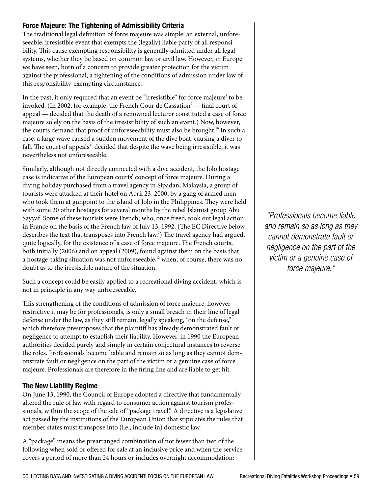## **Force Majeure: The Tightening of Admissibility Criteria**

The traditional legal definition of force majeure was simple: an external, unforeseeable, irresistible event that exempts the (legally) liable party of all responsibility. This cause exempting responsibility is generally admitted under all legal systems, whether they be based on common law or civil law. However, in Europe we have seen, born of a concern to provide greater protection for the victim against the professional, a tightening of the conditions of admission under law of this responsibility-exempting circumstance.

In the past, it only required that an event be "irresistible" for force majeure<sup>8</sup> to be invoked. (In 2002, for example, the French Cour de Cassation $^{\circ}$  — final court of appeal — decided that the death of a renowned lecturer constituted a case of force majeure solely on the basis of the irresistibility of such an event.) Now, however, the courts demand that proof of unforeseeability must also be brought.<sup>10</sup> In such a case, a large wave caused a sudden movement of the dive boat, causing a diver to fall. The court of appeals $11$  decided that despite the wave being irresistible, it was nevertheless not unforeseeable.

Similarly, although not directly connected with a dive accident, the Jolo hostage case is indicative of the European courts' concept of force majeure. During a diving holiday purchased from a travel agency in Sipadan, Malaysia, a group of tourists were attacked at their hotel on April 23, 2000, by a gang of armed men who took them at gunpoint to the island of Jolo in the Philippines. They were held with some 20 other hostages for several months by the rebel Islamist group Abu Sayyaf. Some of these tourists were French, who, once freed, took out legal action in France on the basis of the French law of July 13, 1992. (The EC Directive below describes the text that transposes into French law.<sup>7</sup>) The travel agency had argued, quite logically, for the existence of a case of force majeure. The French courts, both initially (2006) and on appeal (2009), found against them on the basis that a hostage-taking situation was not unforeseeable, $12$  when, of course, there was no doubt as to the irresistible nature of the situation.

Such a concept could be easily applied to a recreational diving accident, which is not in principle in any way unforeseeable.

This strengthening of the conditions of admission of force majeure, however restrictive it may be for professionals, is only a small breach in their line of legal defense under the law, as they still remain, legally speaking, "on the defense," which therefore presupposes that the plaintiff has already demonstrated fault or negligence to attempt to establish their liability. However, in 1990 the European authorities decided purely and simply in certain conjectural instances to reverse the roles. Professionals become liable and remain so as long as they cannot demonstrate fault or negligence on the part of the victim or a genuine case of force majeure. Professionals are therefore in the firing line and are liable to get hit.

## **The New Liability Regime**

On June 13, 1990, the Council of Europe adopted a directive that fundamentally altered the rule of law with regard to consumer action against tourism professionals, within the scope of the sale of "package travel." A directive is a legislative act passed by the institutions of the European Union that stipulates the rules that member states must transpose into (i.e., include in) domestic law.

A "package" means the prearranged combination of not fewer than two of the following when sold or offered for sale at an inclusive price and when the service covers a period of more than 24 hours or includes overnight accommodation:

*"Professionals become liable and remain so as long as they cannot demonstrate fault or negligence on the part of the victim or a genuine case of force majeure."*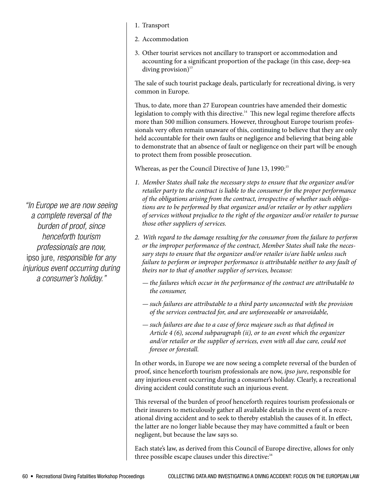- 1. Transport
- 2. Accommodation
- 3. Other tourist services not ancillary to transport or accommodation and accounting for a significant proportion of the package (in this case, deep-sea diving provision) $13$

The sale of such tourist package deals, particularly for recreational diving, is very common in Europe.

Thus, to date, more than 27 European countries have amended their domestic legislation to comply with this directive.<sup>14</sup> This new legal regime therefore affects more than 500 million consumers. However, throughout Europe tourism professionals very often remain unaware of this, continuing to believe that they are only held accountable for their own faults or negligence and believing that being able to demonstrate that an absence of fault or negligence on their part will be enough to protect them from possible prosecution.

Whereas, as per the Council Directive of June 13, 1990:<sup>15</sup>

- *1. Member States shall take the necessary steps to ensure that the organizer and/or retailer party to the contract is liable to the consumer for the proper performance of the obligations arising from the contract, irrespective of whether such obligations are to be performed by that organizer and/or retailer or by other suppliers of services without prejudice to the right of the organizer and/or retailer to pursue those other suppliers of services.*
- *2. With regard to the damage resulting for the consumer from the failure to perform or the improper performance of the contract, Member States shall take the necessary steps to ensure that the organizer and/or retailer is/are liable unless such failure to perform or improper performance is attributable neither to any fault of theirs nor to that of another supplier of services, because:*
	- *— the failures which occur in the performance of the contract are attributable to the consumer,*
	- *— such failures are attributable to a third party unconnected with the provision of the services contracted for, and are unforeseeable or unavoidable,*
	- *— such failures are due to a case of force majeure such as that defined in Article 4 (6), second subparagraph (ii), or to an event which the organizer and/or retailer or the supplier of services, even with all due care, could not foresee or forestall.*

In other words, in Europe we are now seeing a complete reversal of the burden of proof, since henceforth tourism professionals are now, *ipso jure*, responsible for any injurious event occurring during a consumer's holiday. Clearly, a recreational diving accident could constitute such an injurious event.

This reversal of the burden of proof henceforth requires tourism professionals or their insurers to meticulously gather all available details in the event of a recreational diving accident and to seek to thereby establish the causes of it. In effect, the latter are no longer liable because they may have committed a fault or been negligent, but because the law says so.

Each state's law, as derived from this Council of Europe directive, allows for only three possible escape clauses under this directive:<sup>16</sup>

*"In Europe we are now seeing a complete reversal of the burden of proof, since henceforth tourism professionals are now,*  ipso jure, *responsible for any injurious event occurring during a consumer's holiday."*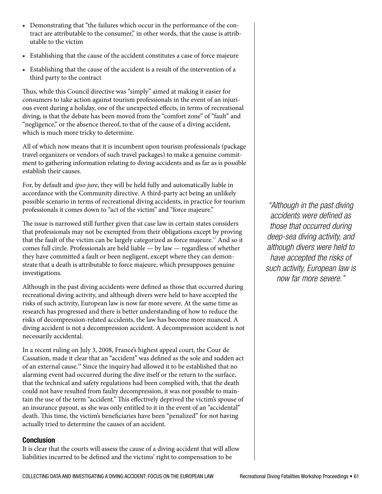- Demonstrating that "the failures which occur in the performance of the contract are attributable to the consumer," in other words, that the cause is attributable to the victim
- Establishing that the cause of the accident constitutes a case of force majeure
- • Establishing that the cause of the accident is a result of the intervention of a third party to the contract

Thus, while this Council directive was "simply" aimed at making it easier for consumers to take action against tourism professionals in the event of an injurious event during a holiday, one of the unexpected effects, in terms of recreational diving, is that the debate has been moved from the "comfort zone" of "fault" and "negligence," or the absence thereof, to that of the cause of a diving accident, which is much more tricky to determine.

All of which now means that it is incumbent upon tourism professionals (package travel organizers or vendors of such travel packages) to make a genuine commitment to gathering information relating to diving accidents and as far as is possible establish their causes.

For, by default and *ipso jure*, they will be held fully and automatically liable in accordance with the Community directive. A third-party act being an unlikely possible scenario in terms of recreational diving accidents, in practice for tourism professionals it comes down to "act of the victim" and "force majeure."

The issue is narrowed still further given that case law in certain states considers that professionals may not be exempted from their obligations except by proving that the fault of the victim can be largely categorized as force majeure.<sup>17</sup> And so it comes full circle. Professionals are held liable — by law — regardless of whether they have committed a fault or been negligent, except where they can demonstrate that a death is attributable to force majeure, which presupposes genuine investigations.

Although in the past diving accidents were defined as those that occurred during recreational diving activity, and although divers were held to have accepted the risks of such activity, European law is now far more severe. At the same time as research has progressed and there is better understanding of how to reduce the risks of decompression-related accidents, the law has become more nuanced. A diving accident is not a decompression accident. A decompression accident is not necessarily accidental.

In a recent ruling on July 3, 2008, France's highest appeal court, the Cour de Cassation, made it clear that an "accident" was defined as the sole and sudden act of an external cause.18 Since the inquiry had allowed it to be established that no alarming event had occurred during the dive itself or the return to the surface, that the technical and safety regulations had been complied with, that the death could not have resulted from faulty decompression, it was not possible to maintain the use of the term "accident." This effectively deprived the victim's spouse of an insurance payout, as she was only entitled to it in the event of an "accidental" death. This time, the victim's beneficiaries have been "penalized" for not having actually tried to determine the causes of an accident.

## **Conclusion**

It is clear that the courts will assess the cause of a diving accident that will allow liabilities incurred to be defined and the victims' right to compensation to be

*"Although in the past diving accidents were defined as those that occurred during deep-sea diving activity, and although divers were held to have accepted the risks of such activity, European law is now far more severe."*